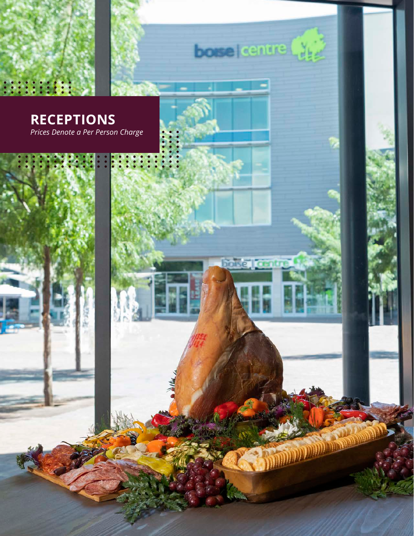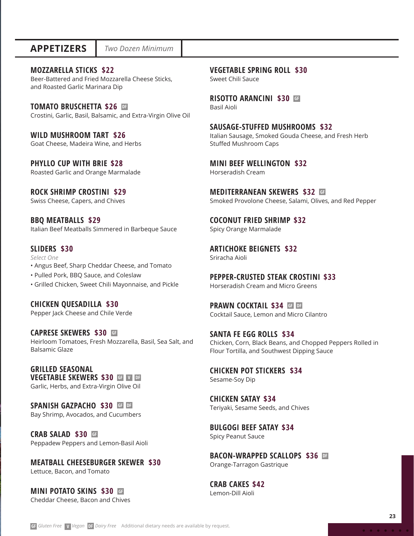### **MOZZARELLA STICKS \$22**

Beer-Battered and Fried Mozzarella Cheese Sticks, and Roasted Garlic Marinara Dip

### **TOMATO BRUSCHETTA \$26 DF**

Crostini, Garlic, Basil, Balsamic, and Extra-Virgin Olive Oil

**WILD MUSHROOM TART \$26** Goat Cheese, Madeira Wine, and Herbs

**PHYLLO CUP WITH BRIE \$28**  Roasted Garlic and Orange Marmalade

**ROCK SHRIMP CROSTINI \$29** Swiss Cheese, Capers, and Chives

**BBQ MEATBALLS \$29** Italian Beef Meatballs Simmered in Barbeque Sauce

### **SLIDERS \$30**

*Select One*

- Angus Beef, Sharp Cheddar Cheese, and Tomato
- Pulled Pork, BBQ Sauce, and Coleslaw
- Grilled Chicken, Sweet Chili Mayonnaise, and Pickle

**CHICKEN QUESADILLA \$30** Pepper Jack Cheese and Chile Verde

**CAPRESE SKEWERS \$30 GF** Heirloom Tomatoes, Fresh Mozzarella, Basil, Sea Salt, and

Balsamic Glaze

**GRILLED SEASONAL VEGETABLE SKEWERS \$30 GF V DF** Garlic, Herbs, and Extra-Virgin Olive Oil

## **SPANISH GAZPACHO \$30 GF DF**

Bay Shrimp, Avocados, and Cucumbers

**CRAB SALAD \$30 GF** Peppadew Peppers and Lemon-Basil Aioli

**MEATBALL CHEESEBURGER SKEWER \$30** Lettuce, Bacon, and Tomato

**MINI POTATO SKINS \$30 GF** Cheddar Cheese, Bacon and Chives **VEGETABLE SPRING ROLL \$30**

Sweet Chili Sauce

**RISOTTO ARANCINI \$30 GF** Basil Aioli

**SAUSAGE-STUFFED MUSHROOMS \$32** Italian Sausage, Smoked Gouda Cheese, and Fresh Herb Stuffed Mushroom Caps

**MINI BEEF WELLINGTON \$32** Horseradish Cream

**MEDITERRANEAN SKEWERS \$32 GF**Smoked Provolone Cheese, Salami, Olives, and Red Pepper

**COCONUT FRIED SHRIMP \$32**  Spicy Orange Marmalade

**ARTICHOKE BEIGNETS \$32** Sriracha Aioli

**PEPPER-CRUSTED STEAK CROSTINI \$33** Horseradish Cream and Micro Greens

**PRAWN COCKTAIL \$34 GF DF** Cocktail Sauce, Lemon and Micro Cilantro

**SANTA FE EGG ROLLS \$34** Chicken, Corn, Black Beans, and Chopped Peppers Rolled in Flour Tortilla, and Southwest Dipping Sauce

**CHICKEN POT STICKERS \$34** Sesame-Soy Dip

**CHICKEN SATAY \$34**  Teriyaki, Sesame Seeds, and Chives

**BULGOGI BEEF SATAY \$34** Spicy Peanut Sauce

**BACON-WRAPPED SCALLOPS \$36 DF** Orange-Tarragon Gastrique

**CRAB CAKES \$42**  Lemon-Dill Aioli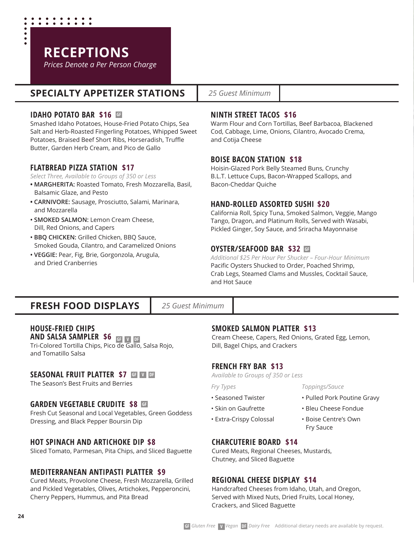

# **SPECIALTY APPETIZER STATIONS**

### **IDAHO POTATO BAR \$16 GF**

Smashed Idaho Potatoes, House-Fried Potato Chips, Sea Salt and Herb-Roasted Fingerling Potatoes, Whipped Sweet Potatoes, Braised Beef Short Ribs, Horseradish, Truffle Butter, Garden Herb Cream, and Pico de Gallo

### **FLATBREAD PIZZA STATION \$17**

- *Select Three, Available to Groups of 350 or Less*
- **MARGHERITA:** Roasted Tomato, Fresh Mozzarella, Basil, Balsamic Glaze, and Pesto
- **CARNIVORE:** Sausage, Prosciutto, Salami, Marinara, and Mozzarella
- **SMOKED SALMON:** Lemon Cream Cheese, Dill, Red Onions, and Capers
- **BBQ CHICKEN:** Grilled Chicken, BBQ Sauce, Smoked Gouda, Cilantro, and Caramelized Onions
- **VEGGIE:** Pear, Fig, Brie, Gorgonzola, Arugula, and Dried Cranberries

### *25 Guest Minimum*

### **NINTH STREET TACOS \$16**

Warm Flour and Corn Tortillas, Beef Barbacoa, Blackened Cod, Cabbage, Lime, Onions, Cilantro, Avocado Crema, and Cotija Cheese

### **BOISE BACON STATION \$18**

Hoisin-Glazed Pork Belly Steamed Buns, Crunchy B.L.T. Lettuce Cups, Bacon-Wrapped Scallops, and Bacon-Cheddar Quiche

### **HAND-ROLLED ASSORTED SUSHI \$20**

California Roll, Spicy Tuna, Smoked Salmon, Veggie, Mango Tango, Dragon, and Platinum Rolls, Served with Wasabi, Pickled Ginger, Soy Sauce, and Sriracha Mayonnaise

### **OYSTER/SEAFOOD BAR \$32 GF**

*Additional \$25 Per Hour Per Shucker – Four-Hour Minimum*  Pacific Oysters Shucked to Order, Poached Shrimp, Crab Legs, Steamed Clams and Mussles, Cocktail Sauce, and Hot Sauce

# **FRESH FOOD DISPLAYS**

*25 Guest Minimum*

# **HOUSE-FRIED CHIPS**

**AND SALSA SAMPLER \$6 GF V DF** Tri-Colored Tortilla Chips, Pico de Gallo, Salsa Rojo, and Tomatillo Salsa

### **SEASONAL FRUIT PLATTER \$7 GF V DF**

The Season's Best Fruits and Berries

### **GARDEN VEGETABLE CRUDITE \$8 GF**

Fresh Cut Seasonal and Local Vegetables, Green Goddess Dressing, and Black Pepper Boursin Dip

### **HOT SPINACH AND ARTICHOKE DIP \$8**

Sliced Tomato, Parmesan, Pita Chips, and Sliced Baguette

### **MEDITERRANEAN ANTIPASTI PLATTER \$9**

Cured Meats, Provolone Cheese, Fresh Mozzarella, Grilled and Pickled Vegetables, Olives, Artichokes, Pepperoncini, Cherry Peppers, Hummus, and Pita Bread

### **SMOKED SALMON PLATTER \$13**

Cream Cheese, Capers, Red Onions, Grated Egg, Lemon, Dill, Bagel Chips, and Crackers

*Toppings/Sauce*

Fry Sauce

• Pulled Pork Poutine Gravy • Bleu Cheese Fondue • Boise Centre's Own

### **FRENCH FRY BAR \$13**

*Available to Groups of 350 or Less*

*Fry Types*

- Seasoned Twister
- Skin on Gaufrette
- Extra-Crispy Colossal
- **CHARCUTERIE BOARD \$14**

Cured Meats, Regional Cheeses, Mustards, Chutney, and Sliced Baguette

### **REGIONAL CHEESE DISPLAY \$14**

Handcrafted Cheeses from Idaho, Utah, and Oregon, Served with Mixed Nuts, Dried Fruits, Local Honey,

Crackers, and Sliced Baguette